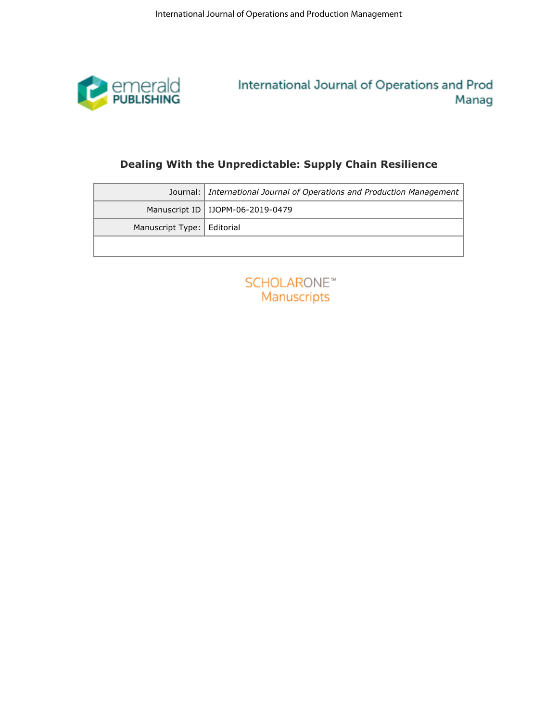

| Dealing With the Unpredictable: Supply Chain Resilience<br>Journal:   International Journal of Operations and Production Management<br>Manuscript ID   IJOPM-06-2019-0479<br>Manuscript Type: Editorial<br><b>SCHOLARONE™</b><br>Manuscripts | emerald<br>PUBLISHING<br>International Journal of Operations and Prod<br>Manag |  |  |  |
|----------------------------------------------------------------------------------------------------------------------------------------------------------------------------------------------------------------------------------------------|--------------------------------------------------------------------------------|--|--|--|
|                                                                                                                                                                                                                                              |                                                                                |  |  |  |
|                                                                                                                                                                                                                                              |                                                                                |  |  |  |
|                                                                                                                                                                                                                                              |                                                                                |  |  |  |
|                                                                                                                                                                                                                                              |                                                                                |  |  |  |
|                                                                                                                                                                                                                                              |                                                                                |  |  |  |

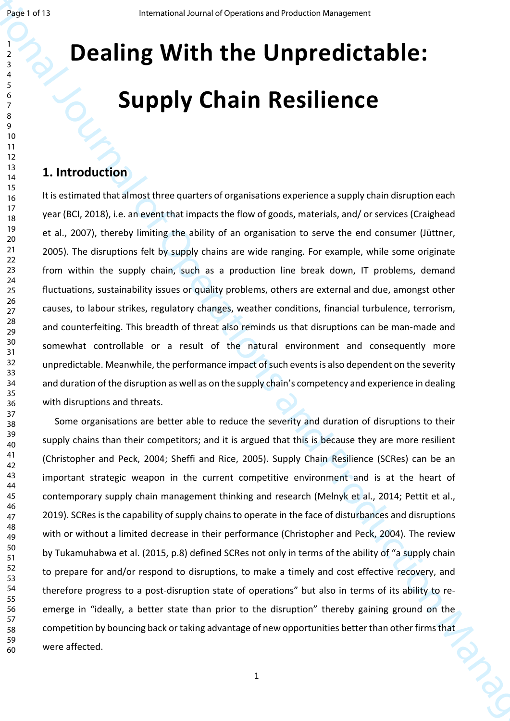# **Dealing With the Unpredictable: Supply Chain Resilience**

# **1. Introduction**

It is estimated that almost three quarters of organisations experience a supply chain disruption each year (BCI, 2018), i.e. an event that impacts the flow of goods, materials, and/ or services (Craighead et al., 2007), thereby limiting the ability of an organisation to serve the end consumer (Jüttner, 2005). The disruptions felt by supply chains are wide ranging. For example, while some originate from within the supply chain, such as a production line break down, IT problems, demand fluctuations, sustainability issues or quality problems, others are external and due, amongst other causes, to labour strikes, regulatory changes, weather conditions, financial turbulence, terrorism, and counterfeiting. This breadth of threat also reminds us that disruptions can be man-made and somewhat controllable or a result of the natural environment and consequently more unpredictable. Meanwhile, the performance impact of such events is also dependent on the severity and duration of the disruption as well as on the supply chain's competency and experience in dealing with disruptions and threats.

**IDealing With the Unpredictable:**<br> **Dealing With the Unpredictable:**<br> **Supply Chain Resilience**<br> **I** Interduction<br> **IS** Interduction<br> **IS** Interduction<br> **IS** Interduction<br> **IS** Interduction<br> **ISON Chain Resilience**<br> **ISO** Some organisations are better able to reduce the severity and duration of disruptions to their supply chains than their competitors; and it is argued that this is because they are more resilient (Christopher and Peck, 2004; Sheffi and Rice, 2005). Supply Chain Resilience (SCRes) can be an important strategic weapon in the current competitive environment and is at the heart of contemporary supply chain management thinking and research (Melnyk et al., 2014; Pettit et al., 2019). SCRes is the capability of supply chains to operate in the face of disturbances and disruptions with or without a limited decrease in their performance (Christopher and Peck, 2004). The review by Tukamuhabwa et al. (2015, p.8) defined SCRes not only in terms of the ability of "a supply chain to prepare for and/or respond to disruptions, to make a timely and cost effective recovery, and therefore progress to a post-disruption state of operations" but also in terms of its ability to reemerge in "ideally, a better state than prior to the disruption" thereby gaining ground on the competition by bouncing back or taking advantage of new opportunities better than other firms that were affected.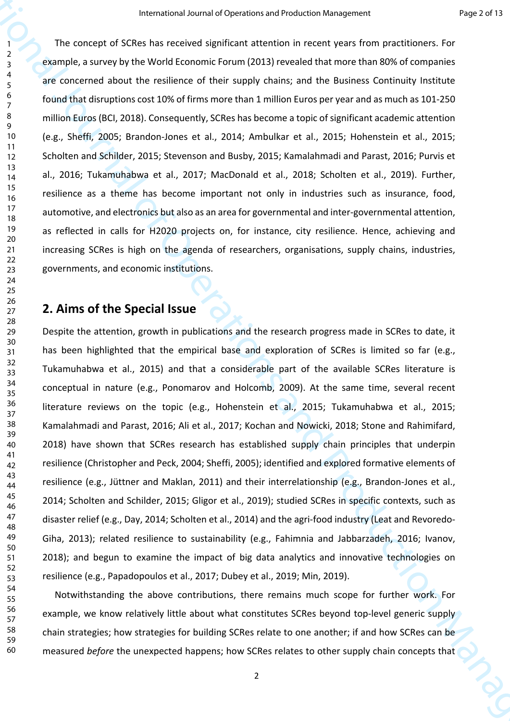The concept of SCRes has received significant attention in recent years from practitioners. For example, a survey by the World Economic Forum (2013) revealed that more than 80% of companies are concerned about the resilience of their supply chains; and the Business Continuity Institute found that disruptions cost 10% of firms more than 1 million Euros per year and as much as 101-250 million Euros (BCI, 2018). Consequently, SCRes has become a topic of significant academic attention (e.g., Sheffi, 2005; Brandon-Jones et al., 2014; Ambulkar et al., 2015; Hohenstein et al., 2015; Scholten and Schilder, 2015; Stevenson and Busby, 2015; Kamalahmadi and Parast, 2016; Purvis et al., 2016; Tukamuhabwa et al., 2017; MacDonald et al., 2018; Scholten et al., 2019). Further, resilience as a theme has become important not only in industries such as insurance, food, automotive, and electronics but also as an area for governmental and inter-governmental attention, as reflected in calls for H2020 projects on, for instance, city resilience. Hence, achieving and increasing SCRes is high on the agenda of researchers, organisations, supply chains, industries, governments, and economic institutions.

# **2. Aims of the Special Issue**

From the context of Detectional Antarctic State is non-text of the state of the state of the state of the state of the state of Detection in turnel functions and the state of Operations and the state of Operations and the Despite the attention, growth in publications and the research progress made in SCRes to date, it has been highlighted that the empirical base and exploration of SCRes is limited so far (e.g., Tukamuhabwa et al., 2015) and that a considerable part of the available SCRes literature is conceptual in nature (e.g., Ponomarov and Holcomb, 2009). At the same time, several recent literature reviews on the topic (e.g., Hohenstein et al., 2015; Tukamuhabwa et al., 2015; Kamalahmadi and Parast, 2016; Ali et al., 2017; Kochan and Nowicki, 2018; Stone and Rahimifard, 2018) have shown that SCRes research has established supply chain principles that underpin resilience (Christopher and Peck, 2004; Sheffi, 2005); identified and explored formative elements of resilience (e.g., Jüttner and Maklan, 2011) and their interrelationship (e.g., Brandon-Jones et al., 2014; Scholten and Schilder, 2015; Gligor et al., 2019); studied SCRes in specific contexts, such as disaster relief (e.g., Day, 2014; Scholten et al., 2014) and the agri-food industry (Leat and Revoredo-Giha, 2013); related resilience to sustainability (e.g., Fahimnia and Jabbarzadeh, 2016; Ivanov, 2018); and begun to examine the impact of big data analytics and innovative technologies on resilience (e.g., Papadopoulos et al., 2017; Dubey et al., 2019; Min, 2019).

Notwithstanding the above contributions, there remains much scope for further work. For example, we know relatively little about what constitutes SCRes beyond top-level generic supply chain strategies; how strategies for building SCRes relate to one another; if and how SCRes can be measured *before* the unexpected happens; how SCRes relates to other supply chain concepts that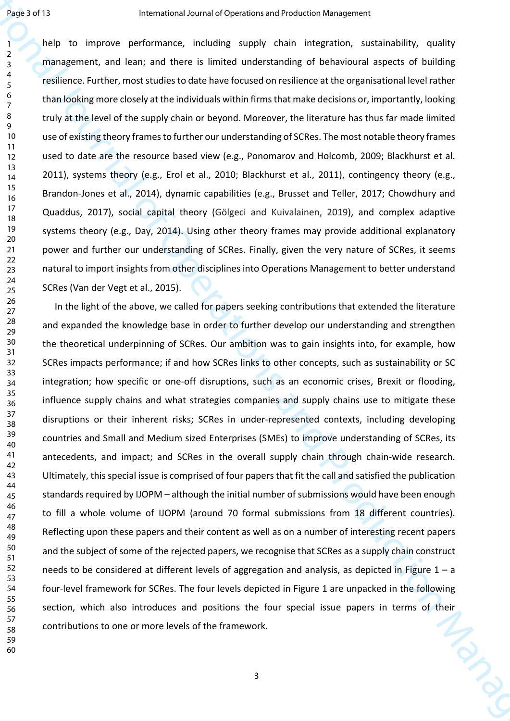help to improve performance, including supply chain integration, sustainability, quality management, and lean; and there is limited understanding of behavioural aspects of building resilience. Further, most studies to date have focused on resilience at the organisational level rather than looking more closely at the individuals within firms that make decisions or, importantly, looking truly at the level of the supply chain or beyond. Moreover, the literature has thus far made limited use of existing theory frames to further our understanding of SCRes. The most notable theory frames used to date are the resource based view (e.g., Ponomarov and Holcomb, 2009; Blackhurst et al. 2011), systems theory (e.g., Erol et al., 2010; Blackhurst et al., 2011), contingency theory (e.g., Brandon-Jones et al., 2014), dynamic capabilities (e.g., Brusset and Teller, 2017; Chowdhury and Quaddus, 2017), social capital theory (Gölgeci and Kuivalainen, 2019), and complex adaptive systems theory (e.g., Day, 2014). Using other theory frames may provide additional explanatory power and further our understanding of SCRes. Finally, given the very nature of SCRes, it seems natural to import insights from other disciplines into Operations Management to better understand SCRes (Van der Vegt et al., 2015).

**International of Constrainer Constrainer Systems and Constrainer Systems and Constrainer Systems and Constrainer Constrainer Constrainer Systems and Definition Constrainer Constrainer Constrainer Constrainer Constrainer** In the light of the above, we called for papers seeking contributions that extended the literature and expanded the knowledge base in order to further develop our understanding and strengthen the theoretical underpinning of SCRes. Our ambition was to gain insights into, for example, how SCRes impacts performance; if and how SCRes links to other concepts, such as sustainability or SC integration; how specific or one-off disruptions, such as an economic crises, Brexit or flooding, influence supply chains and what strategies companies and supply chains use to mitigate these disruptions or their inherent risks; SCRes in under-represented contexts, including developing countries and Small and Medium sized Enterprises (SMEs) to improve understanding of SCRes, its antecedents, and impact; and SCRes in the overall supply chain through chain-wide research. Ultimately, this special issue is comprised of four papers that fit the call and satisfied the publication standards required by IJOPM – although the initial number of submissions would have been enough to fill a whole volume of IJOPM (around 70 formal submissions from 18 different countries). Reflecting upon these papers and their content as well as on a number of interesting recent papers and the subject of some of the rejected papers, we recognise that SCRes as a supply chain construct needs to be considered at different levels of aggregation and analysis, as depicted in Figure 1 – a four-level framework for SCRes. The four levels depicted in Figure 1 are unpacked in the following section, which also introduces and positions the four special issue papers in terms of their contributions to one or more levels of the framework. contributions to one or more levels of the framework.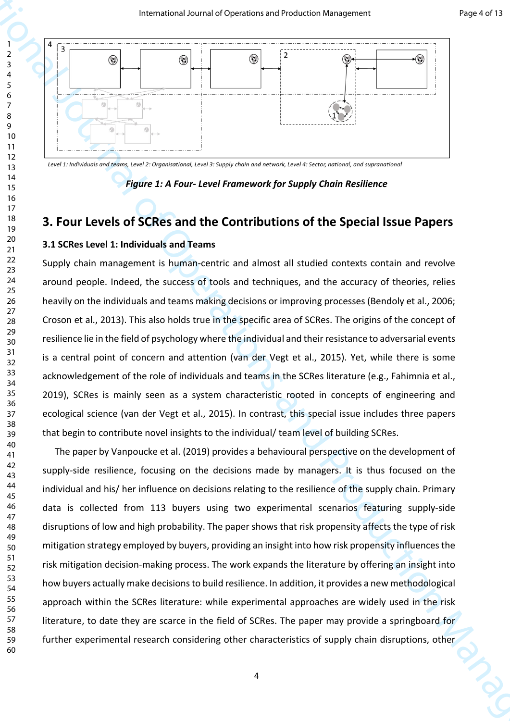

*Figure 1: A Four- Level Framework for Supply Chain Resilience*

# **3. Four Levels of SCRes and the Contributions of the Special Issue Papers**

### **3.1 SCRes Level 1: Individuals and Teams**

Supply chain management is human-centric and almost all studied contexts contain and revolve around people. Indeed, the success of tools and techniques, and the accuracy of theories, relies heavily on the individuals and teams making decisions or improving processes (Bendoly et al., 2006; Croson et al., 2013). This also holds true in the specific area of SCRes. The origins of the concept of resilience lie in the field of psychology where the individual and their resistance to adversarial events is a central point of concern and attention (van der Vegt et al., 2015). Yet, while there is some acknowledgement of the role of individuals and teams in the SCRes literature (e.g., Fahimnia et al., 2019), SCRes is mainly seen as a system characteristic rooted in concepts of engineering and ecological science (van der Vegt et al., 2015). In contrast, this special issue includes three papers that begin to contribute novel insights to the individual/ team level of building SCRes.

International Journal of Contentional of Operations and Projection Parameters<br>
International of Contention Management<br>
International of Operations and Theorem is a sphere to the operation Management<br> **3.** Four Levels of S The paper by Vanpoucke et al. (2019) provides a behavioural perspective on the development of supply-side resilience, focusing on the decisions made by managers. It is thus focused on the individual and his/ her influence on decisions relating to the resilience of the supply chain. Primary data is collected from 113 buyers using two experimental scenarios featuring supply-side disruptions of low and high probability. The paper shows that risk propensity affects the type of risk mitigation strategy employed by buyers, providing an insight into how risk propensity influences the risk mitigation decision-making process. The work expands the literature by offering an insight into how buyers actually make decisions to build resilience. In addition, it provides a new methodological approach within the SCRes literature: while experimental approaches are widely used in the risk literature, to date they are scarce in the field of SCRes. The paper may provide a springboard for further experimental research considering other characteristics of supply chain disruptions, other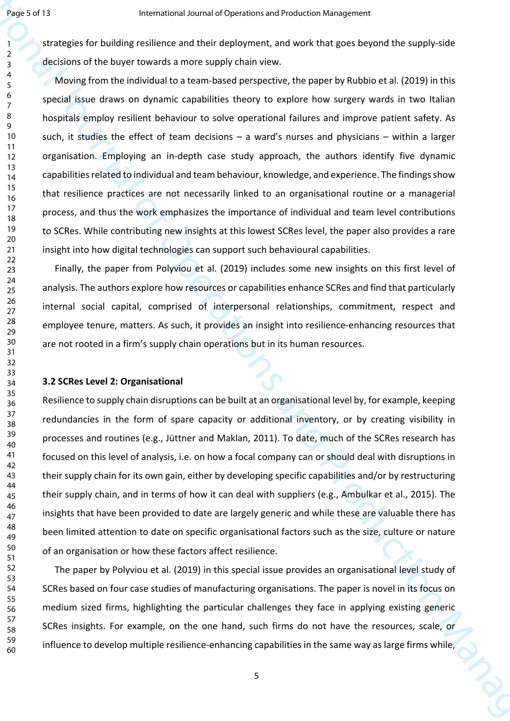strategies for building resilience and their deployment, and work that goes beyond the supply-side decisions of the buyer towards a more supply chain view.

**International of the continents and vice-tens with continent and vice-tens when the computer of detections and the detection of the detection of the detection Management detection (Alexandre Detection Management Continen** Moving from the individual to a team-based perspective, the paper by Rubbio et al. (2019) in this special issue draws on dynamic capabilities theory to explore how surgery wards in two Italian hospitals employ resilient behaviour to solve operational failures and improve patient safety. As such, it studies the effect of team decisions – a ward's nurses and physicians – within a larger organisation. Employing an in-depth case study approach, the authors identify five dynamic capabilities related to individual and team behaviour, knowledge, and experience. The findings show that resilience practices are not necessarily linked to an organisational routine or a managerial process, and thus the work emphasizes the importance of individual and team level contributions to SCRes. While contributing new insights at this lowest SCRes level, the paper also provides a rare insight into how digital technologies can support such behavioural capabilities.

Finally, the paper from Polyviou et al. (2019) includes some new insights on this first level of analysis. The authors explore how resources or capabilities enhance SCRes and find that particularly internal social capital, comprised of interpersonal relationships, commitment, respect and employee tenure, matters. As such, it provides an insight into resilience-enhancing resources that are not rooted in a firm's supply chain operations but in its human resources.

### **3.2 SCRes Level 2: Organisational**

Resilience to supply chain disruptions can be built at an organisational level by, for example, keeping redundancies in the form of spare capacity or additional inventory, or by creating visibility in processes and routines (e.g., Jüttner and Maklan, 2011). To date, much of the SCRes research has focused on this level of analysis, i.e. on how a focal company can or should deal with disruptions in their supply chain for its own gain, either by developing specific capabilities and/or by restructuring their supply chain, and in terms of how it can deal with suppliers (e.g., Ambulkar et al., 2015). The insights that have been provided to date are largely generic and while these are valuable there has been limited attention to date on specific organisational factors such as the size, culture or nature of an organisation or how these factors affect resilience.

The paper by Polyviou et al. (2019) in this special issue provides an organisational level study of SCRes based on four case studies of manufacturing organisations. The paper is novel in its focus on medium sized firms, highlighting the particular challenges they face in applying existing generic SCRes insights. For example, on the one hand, such firms do not have the resources, scale, or influence to develop multiple resilience-enhancing capabilities in the same way as large firms while,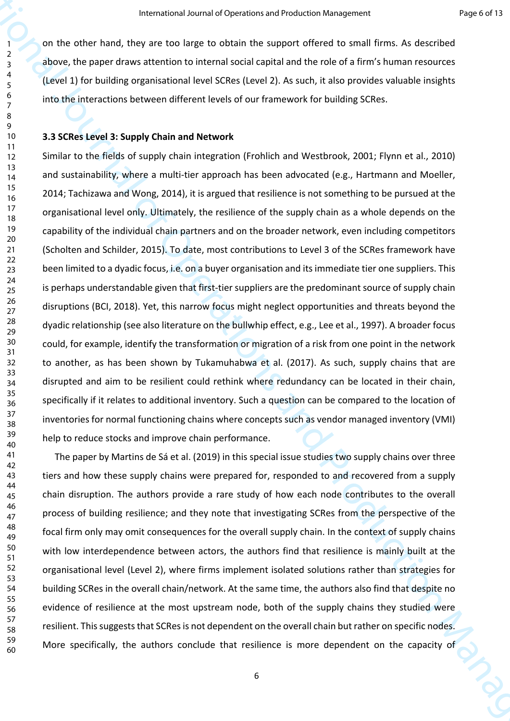on the other hand, they are too large to obtain the support offered to small firms. As described above, the paper draws attention to internal social capital and the role of a firm's human resources (Level 1) for building organisational level SCRes (Level 2). As such, it also provides valuable insights into the interactions between different levels of our framework for building SCRes.

### **3.3 SCRes Level 3: Supply Chain and Network**

From the characteristic term is a studient and visitation Vieneterist<br>
2. Since the lands they are too international the sampent offered to rund firsts, as distributed<br>
2. Since the maper down according to obtain the samp Similar to the fields of supply chain integration (Frohlich and Westbrook, 2001; Flynn et al., 2010) and sustainability, where a multi-tier approach has been advocated (e.g., Hartmann and Moeller, 2014; Tachizawa and Wong, 2014), it is argued that resilience is not something to be pursued at the organisational level only. Ultimately, the resilience of the supply chain as a whole depends on the capability of the individual chain partners and on the broader network, even including competitors (Scholten and Schilder, 2015). To date, most contributions to Level 3 of the SCRes framework have been limited to a dyadic focus, i.e. on a buyer organisation and its immediate tier one suppliers. This is perhaps understandable given that first-tier suppliers are the predominant source of supply chain disruptions (BCI, 2018). Yet, this narrow focus might neglect opportunities and threats beyond the dyadic relationship (see also literature on the bullwhip effect, e.g., Lee et al., 1997). A broader focus could, for example, identify the transformation or migration of a risk from one point in the network to another, as has been shown by Tukamuhabwa et al. (2017). As such, supply chains that are disrupted and aim to be resilient could rethink where redundancy can be located in their chain, specifically if it relates to additional inventory. Such a question can be compared to the location of inventories for normal functioning chains where concepts such as vendor managed inventory (VMI) help to reduce stocks and improve chain performance.

The paper by Martins de Sá et al. (2019) in this special issue studies two supply chains over three tiers and how these supply chains were prepared for, responded to and recovered from a supply chain disruption. The authors provide a rare study of how each node contributes to the overall process of building resilience; and they note that investigating SCRes from the perspective of the focal firm only may omit consequences for the overall supply chain. In the context of supply chains with low interdependence between actors, the authors find that resilience is mainly built at the organisational level (Level 2), where firms implement isolated solutions rather than strategies for building SCRes in the overall chain/network. At the same time, the authors also find that despite no evidence of resilience at the most upstream node, both of the supply chains they studied were resilient. This suggests that SCRes is not dependent on the overall chain but rather on specific nodes. More specifically, the authors conclude that resilience is more dependent on the capacity of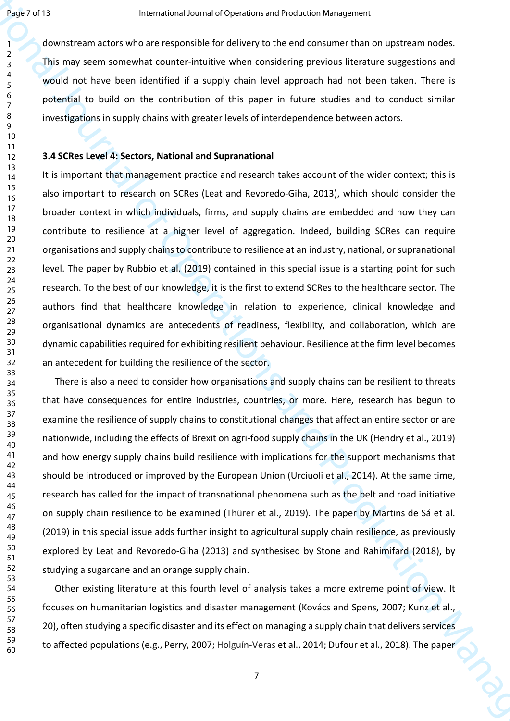downstream actors who are responsible for delivery to the end consumer than on upstream nodes. This may seem somewhat counter-intuitive when considering previous literature suggestions and would not have been identified if a supply chain level approach had not been taken. There is potential to build on the contribution of this paper in future studies and to conduct similar investigations in supply chains with greater levels of interdependence between actors.

#### **3.4 SCRes Level 4: Sectors, National and Supranational**

It is important that management practice and research takes account of the wider context; this is also important to research on SCRes (Leat and Revoredo-Giha, 2013), which should consider the broader context in which individuals, firms, and supply chains are embedded and how they can contribute to resilience at a higher level of aggregation. Indeed, building SCRes can require organisations and supply chains to contribute to resilience at an industry, national, or supranational level. The paper by Rubbio et al. (2019) contained in this special issue is a starting point for such research. To the best of our knowledge, it is the first to extend SCRes to the healthcare sector. The authors find that healthcare knowledge in relation to experience, clinical knowledge and organisational dynamics are antecedents of readiness, flexibility, and collaboration, which are dynamic capabilities required for exhibiting resilient behaviour. Resilience at the firm level becomes an antecedent for building the resilience of the sector.

**Pook ratio.** The mean condition and Poperation and Positive Valence was present and Analytics and Analytics and Analytics and Analytics and Analytics and Analytics and Analytics and Analytics and Analytics and Analytics There is also a need to consider how organisations and supply chains can be resilient to threats that have consequences for entire industries, countries, or more. Here, research has begun to examine the resilience of supply chains to constitutional changes that affect an entire sector or are nationwide, including the effects of Brexit on agri-food supply chains in the UK (Hendry et al., 2019) and how energy supply chains build resilience with implications for the support mechanisms that should be introduced or improved by the European Union (Urciuoli et al., 2014). At the same time, research has called for the impact of transnational phenomena such as the belt and road initiative on supply chain resilience to be examined (Thürer et al., 2019). The paper by Martins de Sá et al. (2019) in this special issue adds further insight to agricultural supply chain resilience, as previously explored by Leat and Revoredo-Giha (2013) and synthesised by Stone and Rahimifard (2018), by studying a sugarcane and an orange supply chain.

Other existing literature at this fourth level of analysis takes a more extreme point of view. It focuses on humanitarian logistics and disaster management (Kovács and Spens, 2007; Kunz et al., 20), often studying a specific disaster and its effect on managing a supply chain that delivers services to affected populations (e.g., Perry, 2007; Holguín-Veras et al., 2014; Dufour et al., 2018). The paper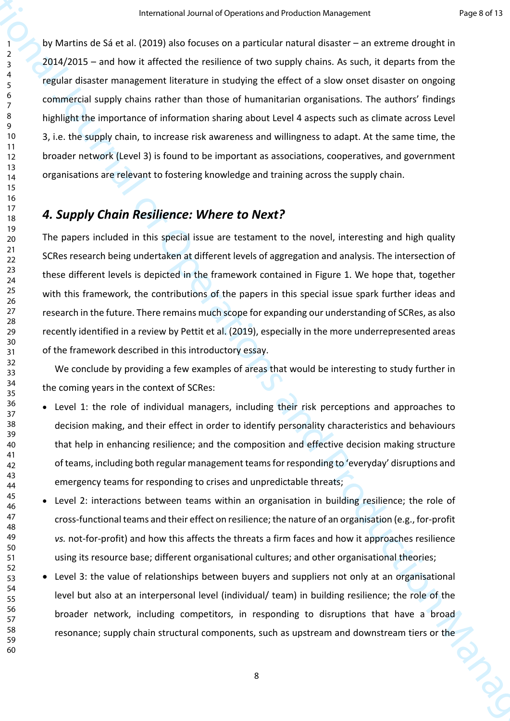International phonon is considered and systems and responses<br>  $\frac{1}{2}$  and the system internal of Operation Management Considers and the system constrained distants on a matrix of the operation Considers and the system o by Martins de Sá et al. (2019) also focuses on a particular natural disaster – an extreme drought in 2014/2015 – and how it affected the resilience of two supply chains. As such, it departs from the regular disaster management literature in studying the effect of a slow onset disaster on ongoing commercial supply chains rather than those of humanitarian organisations. The authors' findings highlight the importance of information sharing about Level 4 aspects such as climate across Level 3, i.e. the supply chain, to increase risk awareness and willingness to adapt. At the same time, the broader network (Level 3) is found to be important as associations, cooperatives, and government organisations are relevant to fostering knowledge and training across the supply chain.

# *4. Supply Chain Resilience: Where to Next?*

The papers included in this special issue are testament to the novel, interesting and high quality SCRes research being undertaken at different levels of aggregation and analysis. The intersection of these different levels is depicted in the framework contained in Figure 1. We hope that, together with this framework, the contributions of the papers in this special issue spark further ideas and research in the future. There remains much scope for expanding our understanding of SCRes, as also recently identified in a review by Pettit et al. (2019), especially in the more underrepresented areas of the framework described in this introductory essay.

We conclude by providing a few examples of areas that would be interesting to study further in the coming years in the context of SCRes:

- Level 1: the role of individual managers, including their risk perceptions and approaches to decision making, and their effect in order to identify personality characteristics and behaviours that help in enhancing resilience; and the composition and effective decision making structure of teams, including both regular management teams for responding to 'everyday' disruptions and emergency teams for responding to crises and unpredictable threats;
- Level 2: interactions between teams within an organisation in building resilience; the role of cross-functional teams and their effect on resilience; the nature of an organisation (e.g., for-profit *vs.* not-for-profit) and how this affects the threats a firm faces and how it approaches resilience using its resource base; different organisational cultures; and other organisational theories;
- Level 3: the value of relationships between buyers and suppliers not only at an organisational level but also at an interpersonal level (individual/ team) in building resilience; the role of the broader network, including competitors, in responding to disruptions that have a broad resonance; supply chain structural components, such as upstream and downstream tiers or the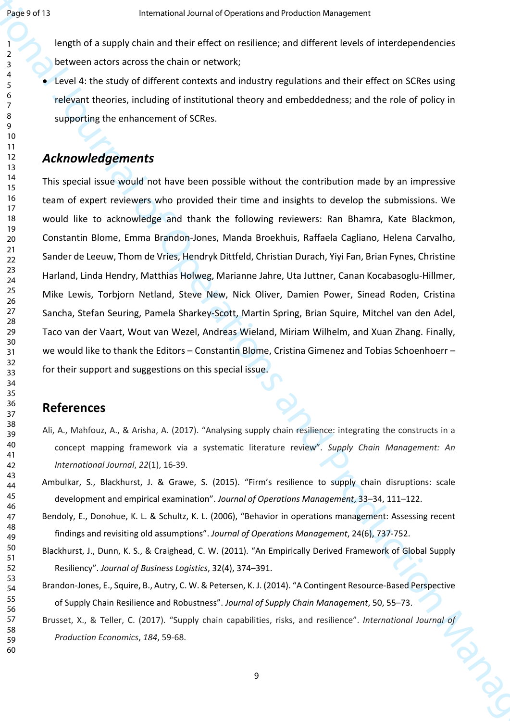length of a supply chain and their effect on resilience; and different levels of interdependencies between actors across the chain or network;

• Level 4: the study of different contexts and industry regulations and their effect on SCRes using relevant theories, including of institutional theory and embeddedness; and the role of policy in supporting the enhancement of SCRes.

# *Acknowledgements*

**Example 20**<br>
International Supple that and the effect on considerate and endomediate considerations<br>  $\frac{1}{2}$  and the multiple phase and the effect on the state of the effect on state sing<br>  $\frac{1}{2}$  and the multiple ph This special issue would not have been possible without the contribution made by an impressive team of expert reviewers who provided their time and insights to develop the submissions. We would like to acknowledge and thank the following reviewers: Ran Bhamra, Kate Blackmon, Constantin Blome, Emma Brandon-Jones, Manda Broekhuis, Raffaela Cagliano, Helena Carvalho, Sander de Leeuw, Thom de Vries, Hendryk Dittfeld, Christian Durach, Yiyi Fan, Brian Fynes, Christine Harland, Linda Hendry, Matthias Holweg, Marianne Jahre, Uta Juttner, Canan Kocabasoglu-Hillmer, Mike Lewis, Torbjorn Netland, Steve New, Nick Oliver, Damien Power, Sinead Roden, Cristina Sancha, Stefan Seuring, Pamela Sharkey-Scott, Martin Spring, Brian Squire, Mitchel van den Adel, Taco van der Vaart, Wout van Wezel, Andreas Wieland, Miriam Wilhelm, and Xuan Zhang. Finally, we would like to thank the Editors – Constantin Blome, Cristina Gimenez and Tobias Schoenhoerr – for their support and suggestions on this special issue.

# **References**

- Ali, A., Mahfouz, A., & Arisha, A. (2017). "Analysing supply chain resilience: integrating the constructs in a concept mapping framework via a systematic literature review". *Supply Chain Management: An International Journal*, *22*(1), 16-39.
- Ambulkar, S., Blackhurst, J. & Grawe, S. (2015). "Firm's resilience to supply chain disruptions: scale development and empirical examination". *Journal of Operations Management*, 33–34, 111–122.
- Bendoly, E., Donohue, K. L. & Schultz, K. L. (2006), "Behavior in operations management: Assessing recent findings and revisiting old assumptions". *Journal of Operations Management*, 24(6), 737-752.
- Blackhurst, J., Dunn, K. S., & Craighead, C. W. (2011). "An Empirically Derived Framework of Global Supply Resiliency". *Journal of Business Logistics*, 32(4), 374–391.
- Brandon-Jones, E., Squire, B., Autry, C. W. & Petersen, K. J. (2014). "A Contingent Resource-Based Perspective of Supply Chain Resilience and Robustness". *Journal of Supply Chain Management*, 50, 55–73.

Brusset, X., & Teller, C. (2017). "Supply chain capabilities, risks, and resilience". *International Journal of Production Economics*, *184*, 59-68.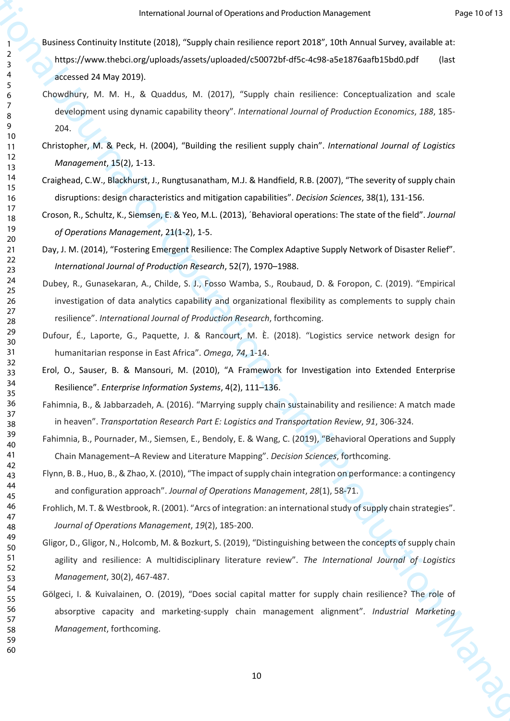- Business Continuity Institute (2018), "Supply chain resilience report 2018", 10th Annual Survey, available at: https://www.thebci.org/uploads/assets/uploaded/c50072bf-df5c-4c98-a5e1876aafb15bd0.pdf (last accessed 24 May 2019).
- Chowdhury, M. M. H., & Quaddus, M. (2017), "Supply chain resilience: Conceptualization and scale development using dynamic capability theory". *International Journal of Production Economics*, *188*, 185- 204.
- Christopher, M. & Peck, H. (2004), "Building the resilient supply chain". *International Journal of Logistics Management*, 15(2), 1-13.
- Craighead, C.W., Blackhurst, J., Rungtusanatham, M.J. & Handfield, R.B. (2007), "The severity of supply chain disruptions: design characteristics and mitigation capabilities". *Decision Sciences*, 38(1), 131-156.
- Croson, R., Schultz, K., Siemsen, E. & Yeo, M.L. (2013), ´Behavioral operations: The state of the field". *Journal of Operations Management*, 21(1-2), 1-5.

Day, J. M. (2014), "Fostering Emergent Resilience: The Complex Adaptive Supply Network of Disaster Relief". *International Journal of Production Research*, 52(7), 1970–1988.

- From the control burnal of Contribution of Management (and Management (and Management (and Management (and Management (and Management (and Management (and Management (and Management (and Management (and Management (and Ma Dubey, R., Gunasekaran, A., Childe, S. J., Fosso Wamba, S., Roubaud, D. & Foropon, C. (2019). "Empirical investigation of data analytics capability and organizational flexibility as complements to supply chain resilience". *International Journal of Production Research*, forthcoming.
	- Dufour, É., Laporte, G., Paquette, J. & Rancourt, M. È. (2018). "Logistics service network design for humanitarian response in East Africa". *Omega*, *74*, 1-14.
	- Erol, O., Sauser, B. & Mansouri, M. (2010), "A Framework for Investigation into Extended Enterprise Resilience". *Enterprise Information Systems*, 4(2), 111–136.
	- Fahimnia, B., & Jabbarzadeh, A. (2016). "Marrying supply chain sustainability and resilience: A match made in heaven". *Transportation Research Part E: Logistics and Transportation Review*, *91*, 306-324.
	- Fahimnia, B., Pournader, M., Siemsen, E., Bendoly, E. & Wang, C. (2019), "Behavioral Operations and Supply Chain Management–A Review and Literature Mapping". *Decision Sciences*, forthcoming.

Flynn, B. B., Huo, B., & Zhao, X. (2010), "The impact of supply chain integration on performance: a contingency and configuration approach". *Journal of Operations Management*, *28*(1), 58-71.

- Frohlich, M. T. & Westbrook, R. (2001). "Arcs of integration: an international study of supply chain strategies". *Journal of Operations Management*, *19*(2), 185-200.
- Gligor, D., Gligor, N., Holcomb, M. & Bozkurt, S. (2019), "Distinguishing between the concepts of supply chain agility and resilience: A multidisciplinary literature review". *The International Journal of Logistics Management*, 30(2), 467-487.
- Gölgeci, I. & Kuivalainen, O. (2019), "Does social capital matter for supply chain resilience? The role of absorptive capacity and marketing-supply chain management alignment". *Industrial Marketing Management*, forthcoming.<br> **Management**, forthcoming.<br> **10** *Management*, forthcoming.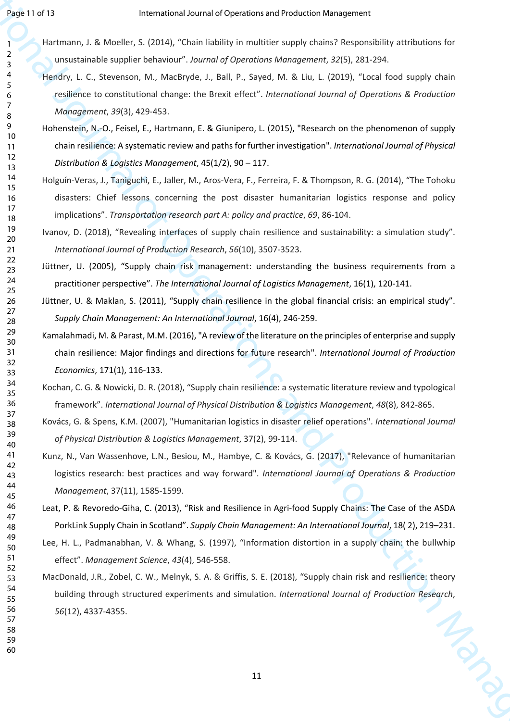- Hartmann, J. & Moeller, S. (2014), "Chain liability in multitier supply chains? Responsibility attributions for unsustainable supplier behaviour". *Journal of Operations Management*, *32*(5), 281-294.
	- Hendry, L. C., Stevenson, M., MacBryde, J., Ball, P., Sayed, M. & Liu, L. (2019), "Local food supply chain resilience to constitutional change: the Brexit effect". *International Journal of Operations & Production Management*, *39*(3), 429-453.
- Hohenstein, N.-O., Feisel, E., Hartmann, E. & Giunipero, L. (2015), "Research on the phenomenon of supply chain resilience: A systematic review and paths for further investigation". *International Journal of Physical Distribution & Logistics Management*, 45(1/2), 90 – 117.
- **IPSE 1973**<br> **INTERTAINMENTAL A Moon Constraint and Properation Scale Constraint Scale Constraint Scale Constraint Scale Constraint Scale Constraint Scale Constraint Scale Constraint Scale Constraint Scale Constraint Scal** Holguín-Veras, J., Taniguchi, E., Jaller, M., Aros-Vera, F., Ferreira, F. & Thompson, R. G. (2014), "The Tohoku disasters: Chief lessons concerning the post disaster humanitarian logistics response and policy implications". *Transportation research part A: policy and practice*, *69*, 86-104.
	- Ivanov, D. (2018), "Revealing interfaces of supply chain resilience and sustainability: a simulation study". *International Journal of Production Research*, *56*(10), 3507-3523.
	- Jüttner, U. (2005), "Supply chain risk management: understanding the business requirements from a practitioner perspective". *The International Journal of Logistics Management*, 16(1), 120-141.
	- Jüttner, U. & Maklan, S. (2011), "Supply chain resilience in the global financial crisis: an empirical study". *Supply Chain Management: An International Journal*, 16(4), 246-259.
	- Kamalahmadi, M. & Parast, M.M. (2016), "A review of the literature on the principles of enterprise and supply chain resilience: Major findings and directions for future research". *International Journal of Production Economics*, 171(1), 116-133.
	- Kochan, C. G. & Nowicki, D. R. (2018), "Supply chain resilience: a systematic literature review and typological framework". *International Journal of Physical Distribution & Logistics Management*, *48*(8), 842-865.
	- Kovács, G. & Spens, K.M. (2007), "Humanitarian logistics in disaster relief operations". *International Journal of Physical Distribution & Logistics Management*, 37(2), 99-114.
	- Kunz, N., Van Wassenhove, L.N., Besiou, M., Hambye, C. & Kovács, G. (2017), "Relevance of humanitarian logistics research: best practices and way forward". *International Journal of Operations & Production Management*, 37(11), 1585-1599.
	- Leat, P. & Revoredo-Giha, C. (2013), "Risk and Resilience in Agri-food Supply Chains: The Case of the ASDA PorkLink Supply Chain in Scotland". *Supply Chain Management: An International Journal*, 18( 2), 219–231.
	- Lee, H. L., Padmanabhan, V. & Whang, S. (1997), "Information distortion in a supply chain: the bullwhip effect". *Management Science*, *43*(4), 546-558.
	- MacDonald, J.R., Zobel, C. W., Melnyk, S. A. & Griffis, S. E. (2018), "Supply chain risk and resilience: theory building through structured experiments and simulation. *International Journal of Production Research*,<br>56(12), 4337-4355. (12), 4337-4355.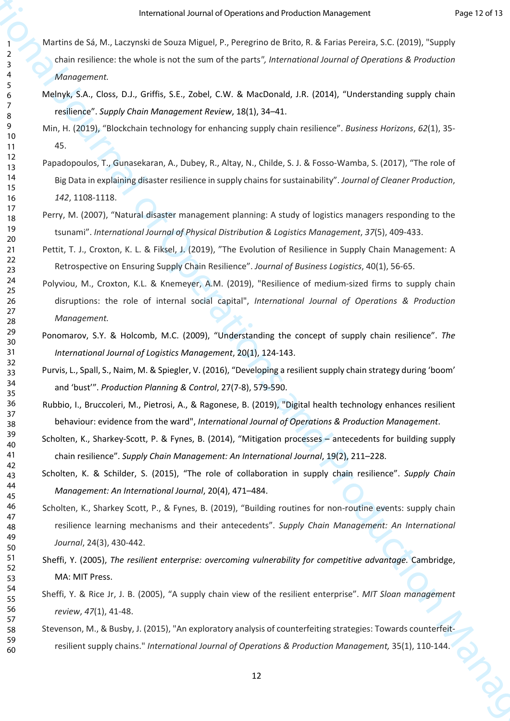- Martins de Sá, M., Laczynski de Souza Miguel, P., Peregrino de Brito, R. & Farias Pereira, S.C. (2019), "Supply chain resilience: the whole is not the sum of the parts*", International Journal of Operations & Production Management.*
- Melnyk, S.A., Closs, D.J., Griffis, S.E., Zobel, C.W. & MacDonald, J.R. (2014), "Understanding supply chain resilience". *Supply Chain Management Review*, 18(1), 34–41.
- Min, H. (2019), "Blockchain technology for enhancing supply chain resilience". *Business Horizons*, *62*(1), 35- 45.
- International Journal of Contribution And Postable Valence<br>
Valence is a static formulation of Contribution Management<br>
2. Channel Control And Management And Management And Management And Management And Management And Man Papadopoulos, T., Gunasekaran, A., Dubey, R., Altay, N., Childe, S. J. & Fosso-Wamba, S. (2017), "The role of Big Data in explaining disaster resilience in supply chains for sustainability". *Journal of Cleaner Production*, , 1108-1118.
	- Perry, M. (2007), "Natural disaster management planning: A study of logistics managers responding to the tsunami". *International Journal of Physical Distribution & Logistics Management*, *37*(5), 409-433.
	- Pettit, T. J., Croxton, K. L. & Fiksel, J. (2019), "The Evolution of Resilience in Supply Chain Management: A Retrospective on Ensuring Supply Chain Resilience". *Journal of Business Logistics*, 40(1), 56-65.
	- Polyviou, M., Croxton, K.L. & Knemeyer, A.M. (2019), "Resilience of medium-sized firms to supply chain disruptions: the role of internal social capital", *International Journal of Operations & Production Management.*
	- Ponomarov, S.Y. & Holcomb, M.C. (2009), "Understanding the concept of supply chain resilience". *The International Journal of Logistics Management*, 20(1), 124-143.
	- Purvis, L., Spall, S., Naim, M. & Spiegler, V. (2016), "Developing a resilient supply chain strategy during 'boom' and 'bust'". *Production Planning & Control*, 27(7-8), 579-590.
	- Rubbio, I., Bruccoleri, M., Pietrosi, A., & Ragonese, B. (2019), "Digital health technology enhances resilient behaviour: evidence from the ward", *International Journal of Operations & Production Management*.
	- Scholten, K., Sharkey-Scott, P. & Fynes, B. (2014), "Mitigation processes antecedents for building supply chain resilience". *Supply Chain Management: An International Journal*, 19(2), 211–228.
	- Scholten, K. & Schilder, S. (2015), "The role of collaboration in supply chain resilience". *Supply Chain Management: An International Journal*, 20(4), 471–484.
	- Scholten, K., Sharkey Scott, P., & Fynes, B. (2019), "Building routines for non-routine events: supply chain resilience learning mechanisms and their antecedents". *Supply Chain Management: An International Journal*, 24(3), 430-442.
		- Sheffi, Y. (2005), *The resilient enterprise: overcoming vulnerability for competitive advantage.* Cambridge, MA: MIT Press.
		- Sheffi, Y. & Rice Jr, J. B. (2005), "A supply chain view of the resilient enterprise". *MIT Sloan management review*, *47*(1), 41-48.
	- Stevenson, M., & Busby, J. (2015), "An exploratory analysis of counterfeiting strategies: Towards counterfeitresilient supply chains." *International Journal of Operations & Production Management,* 35(1), 110-144.